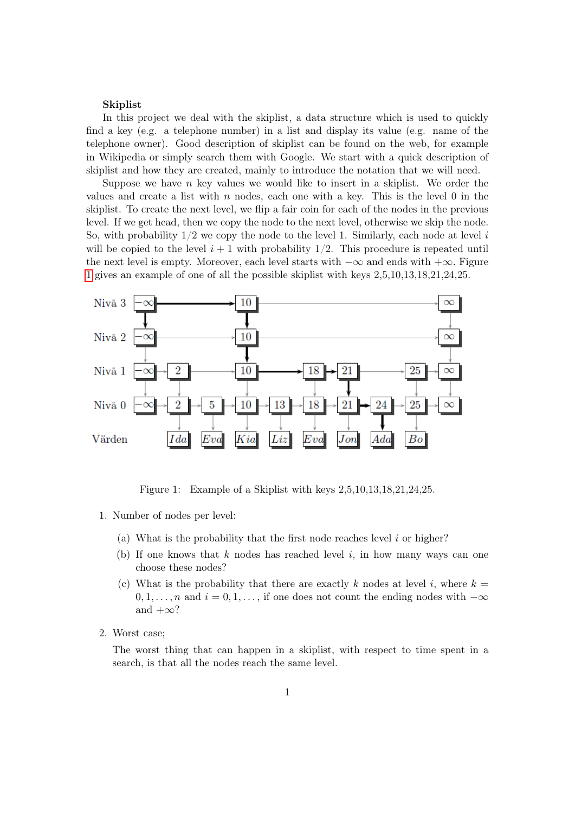## Skiplist

In this project we deal with the skiplist, a data structure which is used to quickly find a key (e.g. a telephone number) in a list and display its value (e.g. name of the telephone owner). Good description of skiplist can be found on the web, for example in Wikipedia or simply search them with Google. We start with a quick description of skiplist and how they are created, mainly to introduce the notation that we will need.

Suppose we have  $n$  key values we would like to insert in a skiplist. We order the values and create a list with  $n$  nodes, each one with a key. This is the level 0 in the skiplist. To create the next level, we flip a fair coin for each of the nodes in the previous level. If we get head, then we copy the node to the next level, otherwise we skip the node. So, with probability  $1/2$  we copy the node to the level 1. Similarly, each node at level i will be copied to the level  $i + 1$  with probability  $1/2$ . This procedure is repeated until the next level is empty. Moreover, each level starts with  $-\infty$  and ends with  $+\infty$ . Figure [1](#page-0-0) gives an example of one of all the possible skiplist with keys 2,5,10,13,18,21,24,25.



<span id="page-0-0"></span>Figure 1: Example of a Skiplist with keys 2,5,10,13,18,21,24,25.

- 1. Number of nodes per level:
	- (a) What is the probability that the first node reaches level  $i$  or higher?
	- (b) If one knows that k nodes has reached level i, in how many ways can one choose these nodes?
	- (c) What is the probability that there are exactly k nodes at level i, where  $k =$  $0, 1, \ldots, n$  and  $i = 0, 1, \ldots$ , if one does not count the ending nodes with  $-\infty$ and  $+\infty$ ?
- 2. Worst case;

The worst thing that can happen in a skiplist, with respect to time spent in a search, is that all the nodes reach the same level.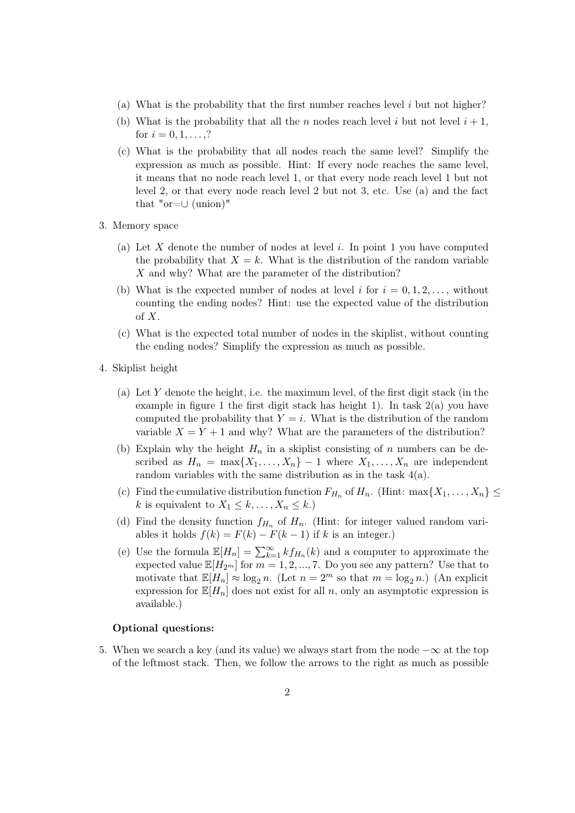- (a) What is the probability that the first number reaches level  $i$  but not higher?
- (b) What is the probability that all the n nodes reach level i but not level  $i + 1$ , for  $i = 0, 1, \ldots, ?$
- (c) What is the probability that all nodes reach the same level? Simplify the expression as much as possible. Hint: If every node reaches the same level, it means that no node reach level 1, or that every node reach level 1 but not level 2, or that every node reach level 2 but not 3, etc. Use (a) and the fact that " $or=\cup$  (union)"
- 3. Memory space
	- (a) Let  $X$  denote the number of nodes at level  $i$ . In point 1 you have computed the probability that  $X = k$ . What is the distribution of the random variable X and why? What are the parameter of the distribution?
	- (b) What is the expected number of nodes at level i for  $i = 0, 1, 2, \ldots$ , without counting the ending nodes? Hint: use the expected value of the distribution of  $X$ .
	- (c) What is the expected total number of nodes in the skiplist, without counting the ending nodes? Simplify the expression as much as possible.
- 4. Skiplist height
	- (a) Let Y denote the height, i.e. the maximum level, of the first digit stack (in the example in figure 1 the first digit stack has height 1). In task  $2(a)$  you have computed the probability that  $Y = i$ . What is the distribution of the random variable  $X = Y + 1$  and why? What are the parameters of the distribution?
	- (b) Explain why the height  $H_n$  in a skiplist consisting of n numbers can be described as  $H_n = \max\{X_1, \ldots, X_n\} - 1$  where  $X_1, \ldots, X_n$  are independent random variables with the same distribution as in the task 4(a).
	- (c) Find the cumulative distribution function  $F_{H_n}$  of  $H_n$ . (Hint: max $\{X_1, \ldots, X_n\} \leq$ k is equivalent to  $X_1 \leq k, \ldots, X_n \leq k$ .)
	- (d) Find the density function  $f_{H_n}$  of  $H_n$ . (Hint: for integer valued random variables it holds  $f(k) = F(k) - F(k-1)$  if k is an integer.)
	- (e) Use the formula  $\mathbb{E}[H_n] = \sum_{k=1}^{\infty} k f_{H_n}(k)$  and a computer to approximate the expected value  $\mathbb{E}[H_{2^m}]$  for  $m = 1, 2, ..., 7$ . Do you see any pattern? Use that to motivate that  $\mathbb{E}[H_n] \approx \log_2 n$ . (Let  $n = 2^m$  so that  $m = \log_2 n$ .) (An explicit expression for  $\mathbb{E}[H_n]$  does not exist for all n, only an asymptotic expression is available.)

## Optional questions:

5. When we search a key (and its value) we always start from the node  $-\infty$  at the top of the leftmost stack. Then, we follow the arrows to the right as much as possible